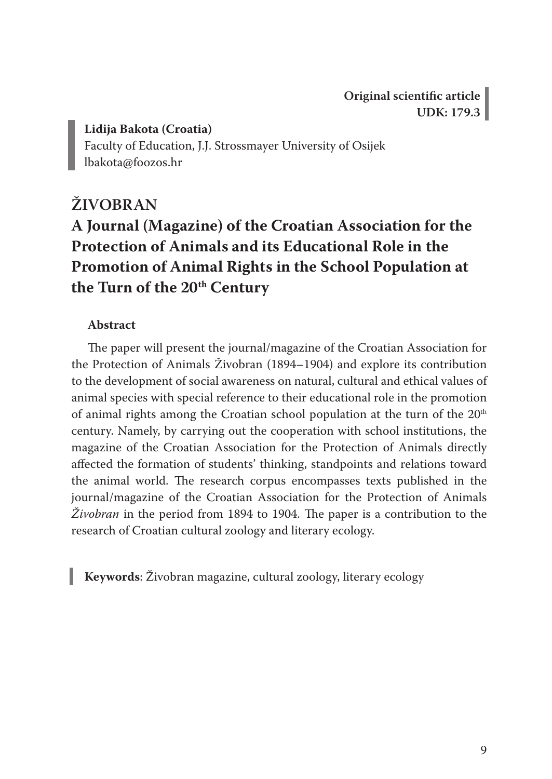**Original scientific article UDK: 179.3**

**Lidija Bakota (Croatia)**

Faculty of Education, J.J. Strossmayer University of Osijek lbakota@foozos.hr

## **ŽIVOBRAN A Journal (Magazine) of the Croatian Association for the Protection of Animals and its Educational Role in the Promotion of Animal Rights in the School Population at**  the Turn of the 20<sup>th</sup> Century

#### **Abstract**

The paper will present the journal/magazine of the Croatian Association for the Protection of Animals Živobran (1894–1904) and explore its contribution to the development of social awareness on natural, cultural and ethical values of animal species with special reference to their educational role in the promotion of animal rights among the Croatian school population at the turn of the  $20<sup>th</sup>$ century. Namely, by carrying out the cooperation with school institutions, the magazine of the Croatian Association for the Protection of Animals directly affected the formation of students' thinking, standpoints and relations toward the animal world. The research corpus encompasses texts published in the journal/magazine of the Croatian Association for the Protection of Animals *Živobran* in the period from 1894 to 1904. The paper is a contribution to the research of Croatian cultural zoology and literary ecology.

**Keywords**: Živobran magazine, cultural zoology, literary ecology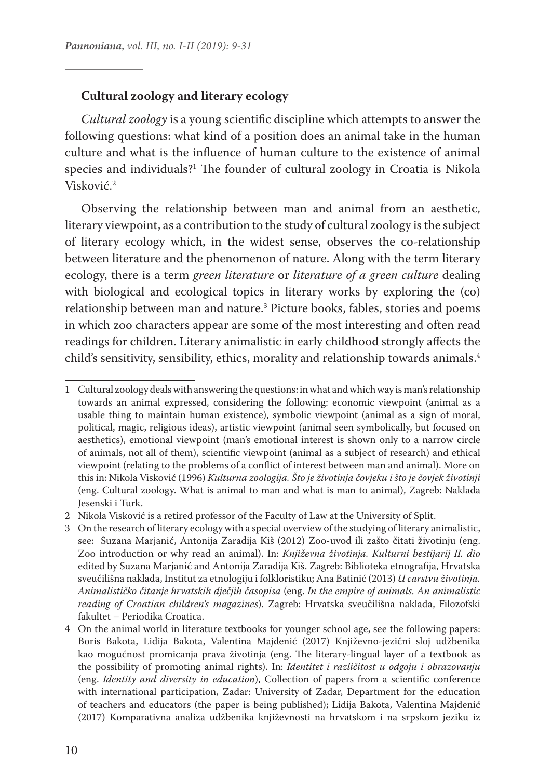#### **Cultural zoology and literary ecology**

*Cultural zoology* is a young scientific discipline which attempts to answer the following questions: what kind of a position does an animal take in the human culture and what is the influence of human culture to the existence of animal species and individuals?<sup>1</sup> The founder of cultural zoology in Croatia is Nikola Visković.<sup>2</sup>

Observing the relationship between man and animal from an aesthetic, literary viewpoint, as a contribution to the study of cultural zoology is the subject of literary ecology which, in the widest sense, observes the co-relationship between literature and the phenomenon of nature. Along with the term literary ecology, there is a term *green literature* or *literature of a green culture* dealing with biological and ecological topics in literary works by exploring the (co) relationship between man and nature.3 Picture books, fables, stories and poems in which zoo characters appear are some of the most interesting and often read readings for children. Literary animalistic in early childhood strongly affects the child's sensitivity, sensibility, ethics, morality and relationship towards animals.<sup>4</sup>

<sup>1</sup> Cultural zoology deals with answering the questions: in what and which way is man's relationship towards an animal expressed, considering the following: economic viewpoint (animal as a usable thing to maintain human existence), symbolic viewpoint (animal as a sign of moral, political, magic, religious ideas), artistic viewpoint (animal seen symbolically, but focused on aesthetics), emotional viewpoint (man's emotional interest is shown only to a narrow circle of animals, not all of them), scientific viewpoint (animal as a subject of research) and ethical viewpoint (relating to the problems of a conflict of interest between man and animal). More on this in: Nikola Visković (1996) *Kulturna zoologija. Što je životinja čovjeku i što je čovjek životinji*  (eng. Cultural zoology. What is animal to man and what is man to animal), Zagreb: Naklada Jesenski i Turk.

<sup>2</sup> Nikola Visković is a retired professor of the Faculty of Law at the University of Split.

<sup>3</sup> On the research of literary ecology with a special overview of the studying of literary animalistic, see: Suzana Marjanić, Antonija Zaradija Kiš (2012) Zoo-uvod ili zašto čitati životinju (eng. Zoo introduction or why read an animal). In: *Književna životinja. Kulturni bestijarij II. dio*  edited by Suzana Marjanić and Antonija Zaradija Kiš. Zagreb: Biblioteka etnografija, Hrvatska sveučilišna naklada, Institut za etnologiju i folkloristiku; Ana Batinić (2013) *U carstvu životinja. Animalističko čitanje hrvatskih dječjih časopisa* (eng. *In the empire of animals. An animalistic reading of Croatian children's magazines*). Zagreb: Hrvatska sveučilišna naklada, Filozofski fakultet – Periodika Croatica.

<sup>4</sup> On the animal world in literature textbooks for younger school age, see the following papers: Boris Bakota, Lidija Bakota, Valentina Majdenić (2017) Književno-jezični sloj udžbenika kao mogućnost promicanja prava životinja (eng. The literary-lingual layer of a textbook as the possibility of promoting animal rights). In: *Identitet i različitost u odgoju i obrazovanju*  (eng. *Identity and diversity in education*), Collection of papers from a scientific conference with international participation, Zadar: University of Zadar, Department for the education of teachers and educators (the paper is being published); Lidija Bakota, Valentina Majdenić (2017) Komparativna analiza udžbenika književnosti na hrvatskom i na srpskom jeziku iz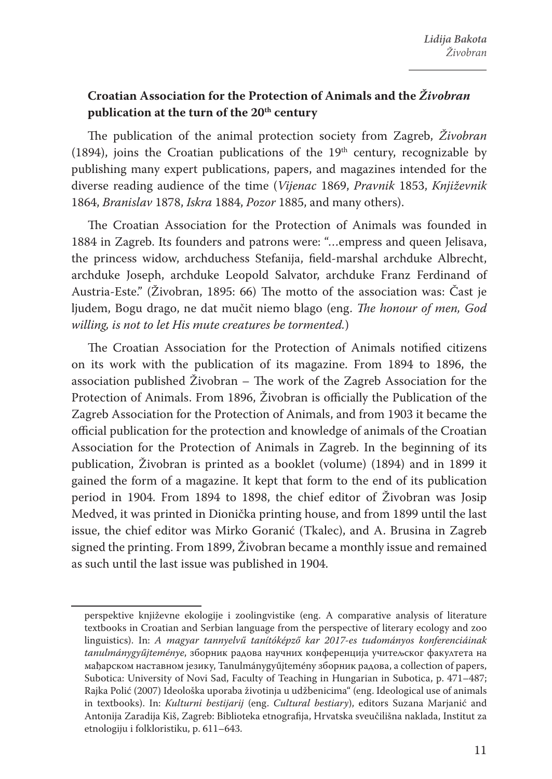## **Croatian Association for the Protection of Animals and the** *Živobran* **publication at the turn of the 20th century**

The publication of the animal protection society from Zagreb, *Živobran*  (1894), joins the Croatian publications of the  $19<sup>th</sup>$  century, recognizable by publishing many expert publications, papers, and magazines intended for the diverse reading audience of the time (*Vijenac* 1869, *Pravnik* 1853, *Književnik* 1864, *Branislav* 1878, *Iskra* 1884, *Pozor* 1885, and many others).

The Croatian Association for the Protection of Animals was founded in 1884 in Zagreb. Its founders and patrons were: "…empress and queen Jelisava, the princess widow, archduchess Stefanija, field-marshal archduke Albrecht, archduke Joseph, archduke Leopold Salvator, archduke Franz Ferdinand of Austria-Este." (Živobran, 1895: 66) The motto of the association was: Čast je ljudem, Bogu drago, ne dat mučit niemo blago (eng. *The honour of men, God willing, is not to let His mute creatures be tormented.*)

The Croatian Association for the Protection of Animals notified citizens on its work with the publication of its magazine. From 1894 to 1896, the association published Živobran – The work of the Zagreb Association for the Protection of Animals. From 1896, Živobran is officially the Publication of the Zagreb Association for the Protection of Animals, and from 1903 it became the official publication for the protection and knowledge of animals of the Croatian Association for the Protection of Animals in Zagreb. In the beginning of its publication, Živobran is printed as a booklet (volume) (1894) and in 1899 it gained the form of a magazine. It kept that form to the end of its publication period in 1904. From 1894 to 1898, the chief editor of Živobran was Josip Medved, it was printed in Dionička printing house, and from 1899 until the last issue, the chief editor was Mirko Goranić (Tkalec), and A. Brusina in Zagreb signed the printing. From 1899, Živobran became a monthly issue and remained as such until the last issue was published in 1904.

perspektive književne ekologije i zoolingvistike (eng. A comparative analysis of literature textbooks in Croatian and Serbian language from the perspective of literary ecology and zoo linguistics). In: *A magyar tannyelvű tanítóképző kar 2017-es tudományos konferenciáinak tanulmánygyűjteménye*, зборник радова научних конференција учитељског факултета на мађарском наставном језику, Tanulmánygyűjtemény зборник радова, a collection of papers, Subotica: University of Novi Sad, Faculty of Teaching in Hungarian in Subotica, p. 471–487; Rajka Polić (2007) Ideološka uporaba životinja u udžbenicima" (eng. Ideological use of animals in textbooks). In: *Kulturni bestijarij* (eng. *Cultural bestiary*), editors Suzana Marjanić and Antonija Zaradija Kiš, Zagreb: Biblioteka etnografija, Hrvatska sveučilišna naklada, Institut za etnologiju i folkloristiku, p. 611–643.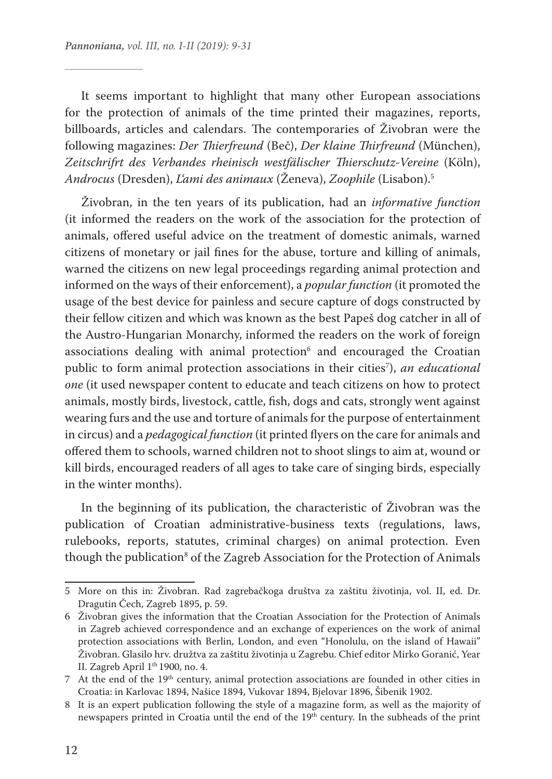It seems important to highlight that many other European associations for the protection of animals of the time printed their magazines, reports, billboards, articles and calendars. The contemporaries of Živobran were the following magazines: *Der Thierfreund* (Beč), *Der klaine Thirfreund* (München), *Zeitschrifrt des Verbandes rheinisch westfälischer Thierschutz-Vereine* (Köln), *Androcus* (Dresden), *L'ami des animaux* (Ženeva), *Zoophile* (Lisabon).5

Živobran, in the ten years of its publication, had an *informative function*  (it informed the readers on the work of the association for the protection of animals, offered useful advice on the treatment of domestic animals, warned citizens of monetary or jail fines for the abuse, torture and killing of animals, warned the citizens on new legal proceedings regarding animal protection and informed on the ways of their enforcement), a *popular function* (it promoted the usage of the best device for painless and secure capture of dogs constructed by their fellow citizen and which was known as the best Papeš dog catcher in all of the Austro-Hungarian Monarchy, informed the readers on the work of foreign associations dealing with animal protection<sup>6</sup> and encouraged the Croatian public to form animal protection associations in their cities<sup>7</sup>), *an educational one* (it used newspaper content to educate and teach citizens on how to protect animals, mostly birds, livestock, cattle, fish, dogs and cats, strongly went against wearing furs and the use and torture of animals for the purpose of entertainment in circus) and a *pedagogical function* (it printed flyers on the care for animals and offered them to schools, warned children not to shoot slings to aim at, wound or kill birds, encouraged readers of all ages to take care of singing birds, especially in the winter months).

In the beginning of its publication, the characteristic of Živobran was the publication of Croatian administrative-business texts (regulations, laws, rulebooks, reports, statutes, criminal charges) on animal protection. Even though the publication $^{\rm 8}$  of the Zagreb Association for the Protection of Animals

<sup>5</sup> More on this in: Živobran. Rad zagrebačkoga društva za zaštitu životinja, vol. II, ed. Dr. Dragutin Čech, Zagreb 1895, p. 59.

<sup>6</sup> Živobran gives the information that the Croatian Association for the Protection of Animals in Zagreb achieved correspondence and an exchange of experiences on the work of animal protection associations with Berlin, London, and even "Honolulu, on the island of Hawaii" Živobran. Glasilo hrv. družtva za zaštitu životinja u Zagrebu. Chief editor Mirko Goranić, Year II. Zagreb April 1th 1900, no. 4.

<sup>7</sup> At the end of the 19th century, animal protection associations are founded in other cities in Croatia: in Karlovac 1894, Našice 1894, Vukovar 1894, Bjelovar 1896, Šibenik 1902.

<sup>8</sup> It is an expert publication following the style of a magazine form, as well as the majority of newspapers printed in Croatia until the end of the 19th century. In the subheads of the print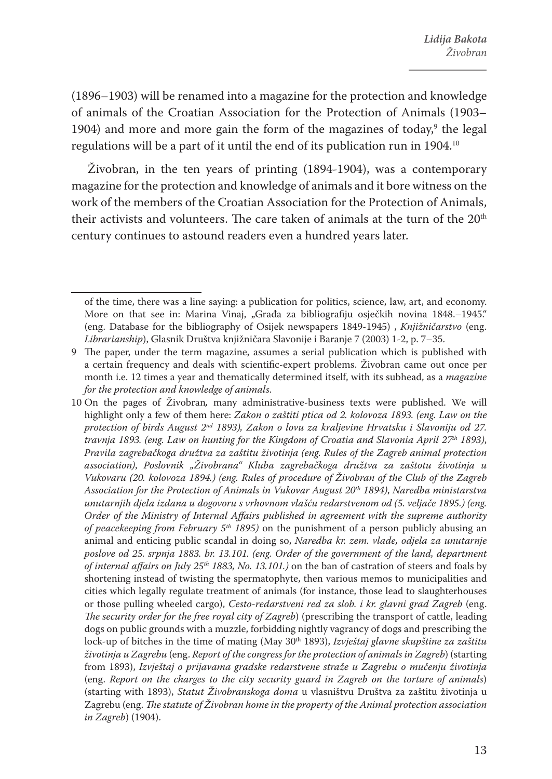(1896–1903) will be renamed into a magazine for the protection and knowledge of animals of the Croatian Association for the Protection of Animals (1903– 1904) and more and more gain the form of the magazines of today,<sup>9</sup> the legal regulations will be a part of it until the end of its publication run in 1904.<sup>10</sup>

Živobran, in the ten years of printing (1894-1904), was a contemporary magazine for the protection and knowledge of animals and it bore witness on the work of the members of the Croatian Association for the Protection of Animals, their activists and volunteers. The care taken of animals at the turn of the 20<sup>th</sup> century continues to astound readers even a hundred years later.

of the time, there was a line saying: a publication for politics, science, law, art, and economy. More on that see in: Marina Vinaj, "Građa za bibliografiju osječkih novina 1848.–1945." (eng. Database for the bibliography of Osijek newspapers 1849-1945) , *Knjižničarstvo* (eng. *Librarianship*), Glasnik Društva knjižničara Slavonije i Baranje 7 (2003) 1-2, p. 7–35.

<sup>9</sup> The paper, under the term magazine, assumes a serial publication which is published with a certain frequency and deals with scientific-expert problems. Živobran came out once per month i.e. 12 times a year and thematically determined itself, with its subhead, as a *magazine for the protection and knowledge of animals*.

<sup>10</sup> On the pages of Živobran*,* many administrative-business texts were published. We will highlight only a few of them here: *Zakon o zaštiti ptica od 2. kolovoza 1893. (eng. Law on the protection of birds August 2nd 1893), Zakon o lovu za kraljevine Hrvatsku i Slavoniju od 27. travnja 1893. (eng. Law on hunting for the Kingdom of Croatia and Slavonia April 27th 1893)*, *Pravila zagrebačkoga družtva za zaštitu životinja (eng. Rules of the Zagreb animal protection association)*, *Poslovnik "Živobrana" Kluba zagrebačkoga družtva za zaštotu životinja u Vukovaru (20. kolovoza 1894.) (eng. Rules of procedure of Živobran of the Club of the Zagreb Association for the Protection of Animals in Vukovar August 20th 1894)*, *Naredba ministarstva unutarnjih djela izdana u dogovoru s vrhovnom vlašću redarstvenom od (5. veljače 1895.) (eng. Order of the Ministry of Internal Affairs published in agreement with the supreme authority of peacekeeping from February 5th 1895)* on the punishment of a person publicly abusing an animal and enticing public scandal in doing so, *Naredba kr. zem. vlade, odjela za unutarnje poslove od 25. srpnja 1883. br. 13.101. (eng. Order of the government of the land, department of internal affairs on July 25th 1883, No. 13.101.)* on the ban of castration of steers and foals by shortening instead of twisting the spermatophyte, then various memos to municipalities and cities which legally regulate treatment of animals (for instance, those lead to slaughterhouses or those pulling wheeled cargo), *Cesto-redarstveni red za slob. i kr. glavni grad Zagreb* (eng. *The security order for the free royal city of Zagreb*) (prescribing the transport of cattle, leading dogs on public grounds with a muzzle, forbidding nightly vagrancy of dogs and prescribing the lock-up of bitches in the time of mating (May 30<sup>th</sup> 1893), *Izvještaj glavne skupštine za zaštitu životinja u Zagrebu* (eng. *Report of the congress for the protection of animals in Zagreb*) (starting from 1893), *Izvještaj o prijavama gradske redarstvene straže u Zagrebu o mučenju životinja*  (eng. *Report on the charges to the city security guard in Zagreb on the torture of animals*) (starting with 1893), *Statut Živobranskoga doma* u vlasništvu Društva za zaštitu životinja u Zagrebu (eng. *The statute of Živobran home in the property of the Animal protection association in Zagreb*) (1904).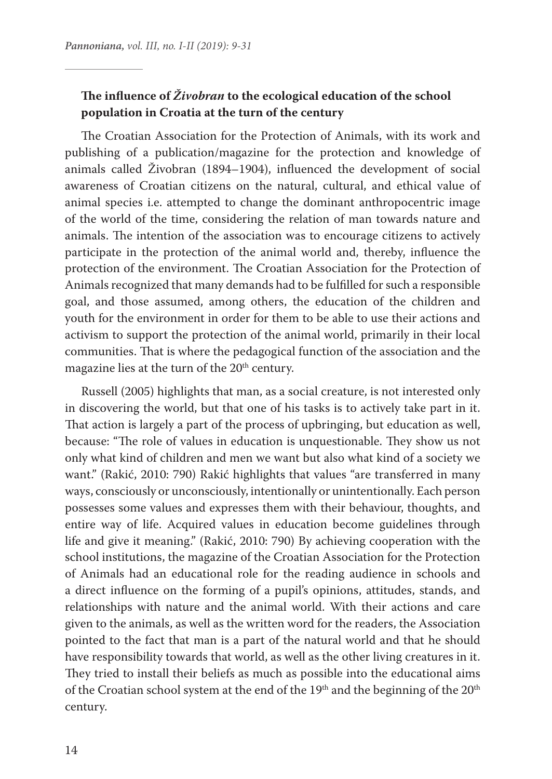### **The influence of** *Živobran* **to the ecological education of the school population in Croatia at the turn of the century**

The Croatian Association for the Protection of Animals, with its work and publishing of a publication/magazine for the protection and knowledge of animals called Živobran (1894–1904), influenced the development of social awareness of Croatian citizens on the natural, cultural, and ethical value of animal species i.e. attempted to change the dominant anthropocentric image of the world of the time, considering the relation of man towards nature and animals. The intention of the association was to encourage citizens to actively participate in the protection of the animal world and, thereby, influence the protection of the environment. The Croatian Association for the Protection of Animals recognized that many demands had to be fulfilled for such a responsible goal, and those assumed, among others, the education of the children and youth for the environment in order for them to be able to use their actions and activism to support the protection of the animal world, primarily in their local communities. That is where the pedagogical function of the association and the magazine lies at the turn of the 20<sup>th</sup> century.

Russell (2005) highlights that man, as a social creature, is not interested only in discovering the world, but that one of his tasks is to actively take part in it. That action is largely a part of the process of upbringing, but education as well, because: "The role of values in education is unquestionable. They show us not only what kind of children and men we want but also what kind of a society we want." (Rakić, 2010: 790) Rakić highlights that values "are transferred in many ways, consciously or unconsciously, intentionally or unintentionally. Each person possesses some values and expresses them with their behaviour, thoughts, and entire way of life. Acquired values in education become guidelines through life and give it meaning." (Rakić, 2010: 790) By achieving cooperation with the school institutions, the magazine of the Croatian Association for the Protection of Animals had an educational role for the reading audience in schools and a direct influence on the forming of a pupil's opinions, attitudes, stands, and relationships with nature and the animal world. With their actions and care given to the animals, as well as the written word for the readers, the Association pointed to the fact that man is a part of the natural world and that he should have responsibility towards that world, as well as the other living creatures in it. They tried to install their beliefs as much as possible into the educational aims of the Croatian school system at the end of the 19<sup>th</sup> and the beginning of the 20<sup>th</sup> century.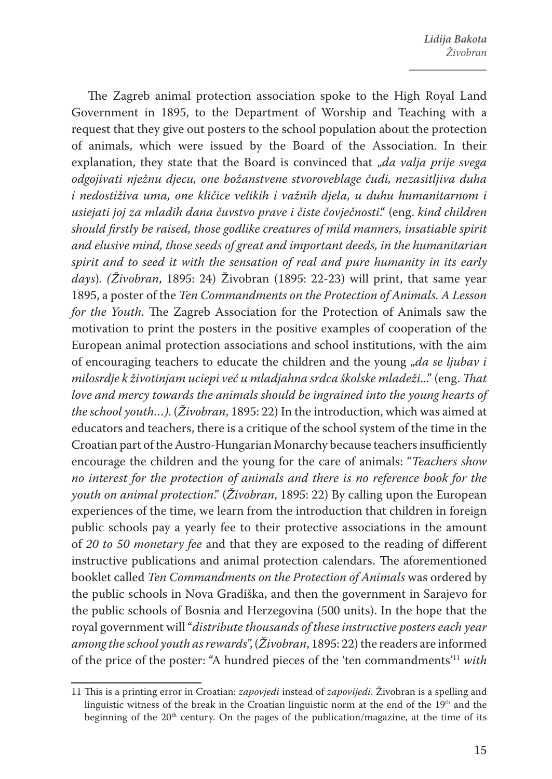The Zagreb animal protection association spoke to the High Royal Land Government in 1895, to the Department of Worship and Teaching with a request that they give out posters to the school population about the protection of animals, which were issued by the Board of the Association. In their explanation, they state that the Board is convinced that "*da valja prije svega odgojivati nježnu djecu, one božanstvene stvoroveblage čudi, nezasitljiva duha i nedostiživa uma, one kličice velikih i važnih djela, u duhu humanitarnom i usiejati joj za mladih dana čuvstvo prave i čiste čovječnosti*." (eng. *kind children should firstly be raised, those godlike creatures of mild manners, insatiable spirit and elusive mind, those seeds of great and important deeds, in the humanitarian spirit and to seed it with the sensation of real and pure humanity in its early days*)*. (Živobran*, 1895: 24) Živobran (1895: 22-23) will print, that same year 1895, a poster of the *Ten Commandments on the Protection of Animals. A Lesson for the Youth*. The Zagreb Association for the Protection of Animals saw the motivation to print the posters in the positive examples of cooperation of the European animal protection associations and school institutions, with the aim of encouraging teachers to educate the children and the young "*da se ljubav i milosrdje k životinjam uciepi već u mladjahna srdca školske mladeži*..." (eng. *That love and mercy towards the animals should be ingrained into the young hearts of the school youth…)*. (*Živobran*, 1895: 22) In the introduction, which was aimed at educators and teachers, there is a critique of the school system of the time in the Croatian part of the Austro-Hungarian Monarchy because teachers insufficiently encourage the children and the young for the care of animals: "*Teachers show no interest for the protection of animals and there is no reference book for the youth on animal protection*." (*Živobran*, 1895: 22) By calling upon the European experiences of the time, we learn from the introduction that children in foreign public schools pay a yearly fee to their protective associations in the amount of *20 to 50 monetary fee* and that they are exposed to the reading of different instructive publications and animal protection calendars. The aforementioned booklet called *Ten Commandments on the Protection of Animals* was ordered by the public schools in Nova Gradiška, and then the government in Sarajevo for the public schools of Bosnia and Herzegovina (500 units). In the hope that the royal government will "*distribute thousands of these instructive posters each year among the school youth as rewards*", (*Živobran*, 1895: 22) the readers are informed of the price of the poster: "A hundred pieces of the 'ten commandments'11 *with* 

<sup>11</sup> This is a printing error in Croatian: *zapovjedi* instead of *zapovijedi*. Živobran is a spelling and linguistic witness of the break in the Croatian linguistic norm at the end of the 19<sup>th</sup> and the beginning of the  $20<sup>th</sup>$  century. On the pages of the publication/magazine, at the time of its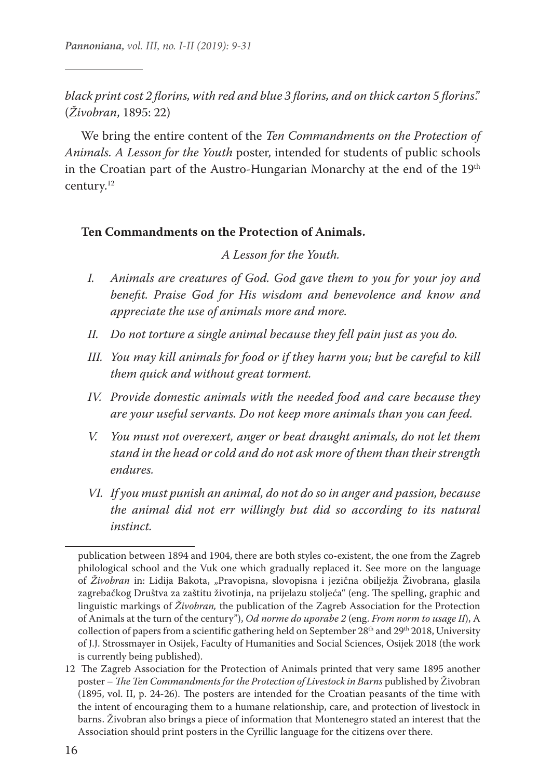*black print cost 2 florins, with red and blue 3 florins, and on thick carton 5 florins*." (*Živobran*, 1895: 22)

We bring the entire content of the *Ten Commandments on the Protection of Animals. A Lesson for the Youth* poster, intended for students of public schools in the Croatian part of the Austro-Hungarian Monarchy at the end of the 19<sup>th</sup> century.12

#### **Ten Commandments on the Protection of Animals.**

*A Lesson for the Youth.*

- *I. Animals are creatures of God. God gave them to you for your joy and benefit. Praise God for His wisdom and benevolence and know and appreciate the use of animals more and more.*
- *II. Do not torture a single animal because they fell pain just as you do.*
- *III. You may kill animals for food or if they harm you; but be careful to kill them quick and without great torment.*
- *IV. Provide domestic animals with the needed food and care because they are your useful servants. Do not keep more animals than you can feed.*
- *V. You must not overexert, anger or beat draught animals, do not let them stand in the head or cold and do not ask more of them than their strength endures.*
- *VI. If you must punish an animal, do not do so in anger and passion, because the animal did not err willingly but did so according to its natural instinct.*

publication between 1894 and 1904, there are both styles co-existent, the one from the Zagreb philological school and the Vuk one which gradually replaced it. See more on the language of *Živobran* in: Lidija Bakota, "Pravopisna, slovopisna i jezična obilježja Živobrana, glasila zagrebačkog Društva za zaštitu životinja, na prijelazu stoljeća" (eng. The spelling, graphic and linguistic markings of *Živobran,* the publication of the Zagreb Association for the Protection of Animals at the turn of the century"), *Od norme do uporabe 2* (eng. *From norm to usage II*), A collection of papers from a scientific gathering held on September 28<sup>th</sup> and 29<sup>th</sup> 2018, University of J.J. Strossmayer in Osijek, Faculty of Humanities and Social Sciences, Osijek 2018 (the work is currently being published).

<sup>12</sup> The Zagreb Association for the Protection of Animals printed that very same 1895 another poster – *The Ten Commandments for the Protection of Livestock in Barns* published by Živobran (1895, vol. II, p. 24-26). The posters are intended for the Croatian peasants of the time with the intent of encouraging them to a humane relationship, care, and protection of livestock in barns. Živobran also brings a piece of information that Montenegro stated an interest that the Association should print posters in the Cyrillic language for the citizens over there.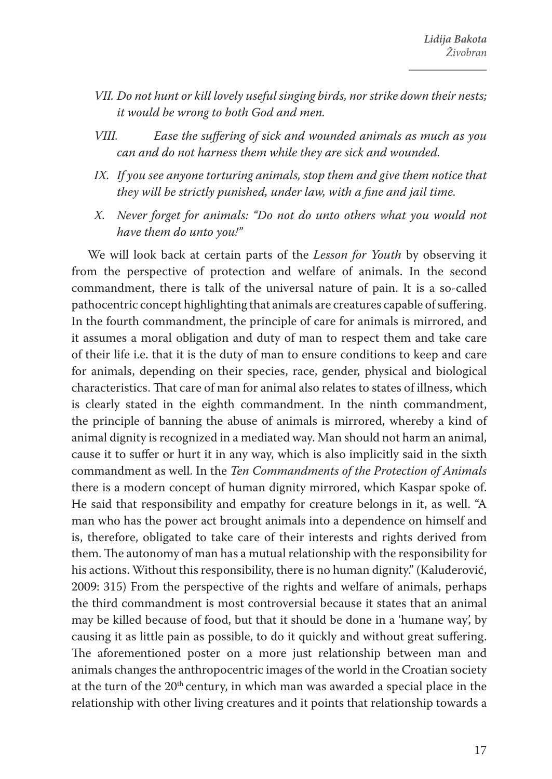- *VII. Do not hunt or kill lovely useful singing birds, nor strike down their nests; it would be wrong to both God and men.*
- *VIII. Ease the suffering of sick and wounded animals as much as you can and do not harness them while they are sick and wounded.*
- *IX. If you see anyone torturing animals, stop them and give them notice that they will be strictly punished, under law, with a fine and jail time.*
- *X. Never forget for animals: "Do not do unto others what you would not have them do unto you!"*

We will look back at certain parts of the *Lesson for Youth* by observing it from the perspective of protection and welfare of animals. In the second commandment, there is talk of the universal nature of pain. It is a so-called pathocentric concept highlighting that animals are creatures capable of suffering. In the fourth commandment, the principle of care for animals is mirrored, and it assumes a moral obligation and duty of man to respect them and take care of their life i.e. that it is the duty of man to ensure conditions to keep and care for animals, depending on their species, race, gender, physical and biological characteristics. That care of man for animal also relates to states of illness, which is clearly stated in the eighth commandment. In the ninth commandment, the principle of banning the abuse of animals is mirrored, whereby a kind of animal dignity is recognized in a mediated way. Man should not harm an animal, cause it to suffer or hurt it in any way, which is also implicitly said in the sixth commandment as well. In the *Ten Commandments of the Protection of Animals*  there is a modern concept of human dignity mirrored, which Kaspar spoke of. He said that responsibility and empathy for creature belongs in it, as well. "A man who has the power act brought animals into a dependence on himself and is, therefore, obligated to take care of their interests and rights derived from them. The autonomy of man has a mutual relationship with the responsibility for his actions. Without this responsibility, there is no human dignity." (Kaluđerović, 2009: 315) From the perspective of the rights and welfare of animals, perhaps the third commandment is most controversial because it states that an animal may be killed because of food, but that it should be done in a 'humane way', by causing it as little pain as possible, to do it quickly and without great suffering. The aforementioned poster on a more just relationship between man and animals changes the anthropocentric images of the world in the Croatian society at the turn of the 20<sup>th</sup> century, in which man was awarded a special place in the relationship with other living creatures and it points that relationship towards a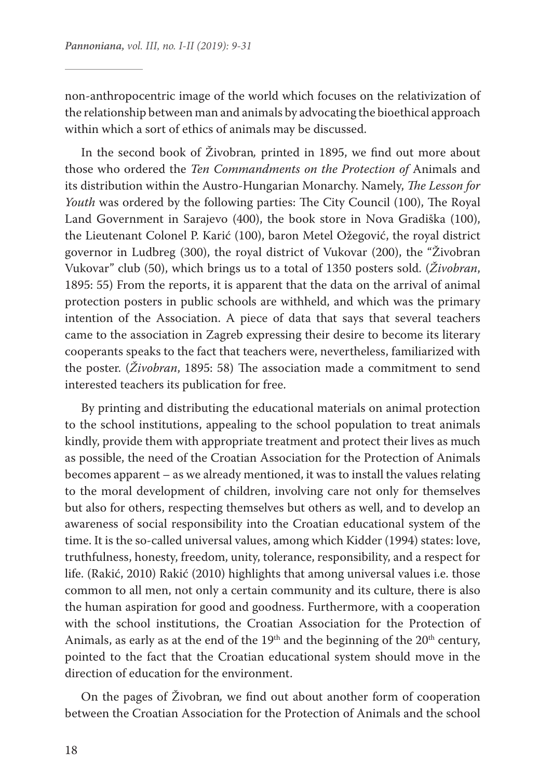non-anthropocentric image of the world which focuses on the relativization of the relationship between man and animals by advocating the bioethical approach within which a sort of ethics of animals may be discussed.

In the second book of Živobran*,* printed in 1895, we find out more about those who ordered the *Ten Commandments on the Protection of* Animals and its distribution within the Austro-Hungarian Monarchy. Namely, *The Lesson for Youth* was ordered by the following parties: The City Council (100), The Royal Land Government in Sarajevo (400), the book store in Nova Gradiška (100), the Lieutenant Colonel P. Karić (100), baron Metel Ožegović, the royal district governor in Ludbreg (300), the royal district of Vukovar (200), the "Živobran Vukovar" club (50), which brings us to a total of 1350 posters sold. (*Živobran*, 1895: 55) From the reports, it is apparent that the data on the arrival of animal protection posters in public schools are withheld, and which was the primary intention of the Association. A piece of data that says that several teachers came to the association in Zagreb expressing their desire to become its literary cooperants speaks to the fact that teachers were, nevertheless, familiarized with the poster. (*Živobran*, 1895: 58) The association made a commitment to send interested teachers its publication for free.

By printing and distributing the educational materials on animal protection to the school institutions, appealing to the school population to treat animals kindly, provide them with appropriate treatment and protect their lives as much as possible, the need of the Croatian Association for the Protection of Animals becomes apparent – as we already mentioned, it was to install the values relating to the moral development of children, involving care not only for themselves but also for others, respecting themselves but others as well, and to develop an awareness of social responsibility into the Croatian educational system of the time. It is the so-called universal values, among which Kidder (1994) states: love, truthfulness, honesty, freedom, unity, tolerance, responsibility, and a respect for life. (Rakić, 2010) Rakić (2010) highlights that among universal values i.e. those common to all men, not only a certain community and its culture, there is also the human aspiration for good and goodness. Furthermore, with a cooperation with the school institutions, the Croatian Association for the Protection of Animals, as early as at the end of the 19<sup>th</sup> and the beginning of the 20<sup>th</sup> century, pointed to the fact that the Croatian educational system should move in the direction of education for the environment.

On the pages of Živobran*,* we find out about another form of cooperation between the Croatian Association for the Protection of Animals and the school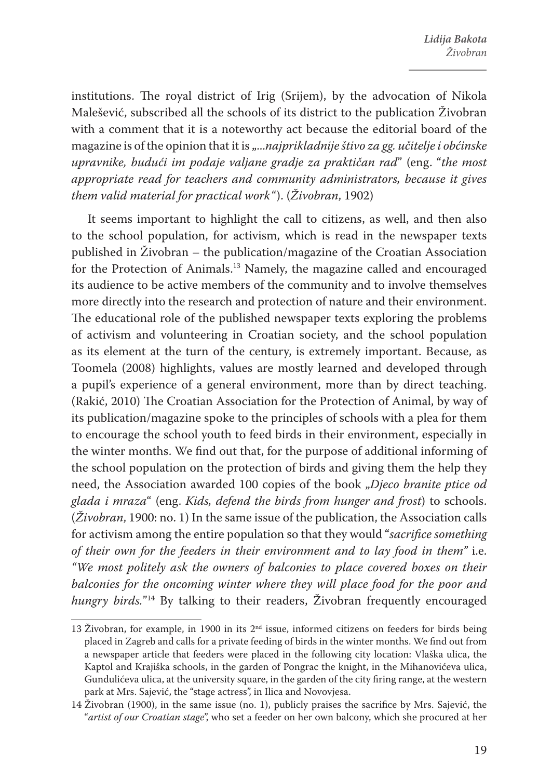institutions. The royal district of Irig (Srijem), by the advocation of Nikola Malešević, subscribed all the schools of its district to the publication Živobran with a comment that it is a noteworthy act because the editorial board of the magazine is of the opinion that it is *"...najprikladnije štivo za gg. učitelje i obćinske upravnike, budući im podaje valjane gradje za praktičan rad*" (eng. "*the most appropriate read for teachers and community administrators, because it gives them valid material for practical work* "). (*Živobran*, 1902)

It seems important to highlight the call to citizens, as well, and then also to the school population, for activism, which is read in the newspaper texts published in Živobran – the publication/magazine of the Croatian Association for the Protection of Animals.13 Namely, the magazine called and encouraged its audience to be active members of the community and to involve themselves more directly into the research and protection of nature and their environment. The educational role of the published newspaper texts exploring the problems of activism and volunteering in Croatian society, and the school population as its element at the turn of the century, is extremely important. Because, as Toomela (2008) highlights, values are mostly learned and developed through a pupil's experience of a general environment, more than by direct teaching. (Rakić, 2010) The Croatian Association for the Protection of Animal, by way of its publication/magazine spoke to the principles of schools with a plea for them to encourage the school youth to feed birds in their environment, especially in the winter months. We find out that, for the purpose of additional informing of the school population on the protection of birds and giving them the help they need, the Association awarded 100 copies of the book "*Djeco branite ptice od glada i mraza*" (eng. *Kids, defend the birds from hunger and frost*) to schools. (*Živobran*, 1900: no. 1) In the same issue of the publication, the Association calls for activism among the entire population so that they would "*sacrifice something of their own for the feeders in their environment and to lay food in them"* i.e. *"We most politely ask the owners of balconies to place covered boxes on their balconies for the oncoming winter where they will place food for the poor and hungry birds.*"14 By talking to their readers, Živobran frequently encouraged

<sup>13</sup> Živobran, for example, in 1900 in its  $2<sup>nd</sup>$  issue, informed citizens on feeders for birds being placed in Zagreb and calls for a private feeding of birds in the winter months. We find out from a newspaper article that feeders were placed in the following city location: Vlaška ulica, the Kaptol and Krajiška schools, in the garden of Pongrac the knight, in the Mihanovićeva ulica, Gundulićeva ulica, at the university square, in the garden of the city firing range, at the western park at Mrs. Sajević, the "stage actress", in Ilica and Novovjesa.

<sup>14</sup> Živobran (1900), in the same issue (no. 1), publicly praises the sacrifice by Mrs. Sajević, the "*artist of our Croatian stage*", who set a feeder on her own balcony, which she procured at her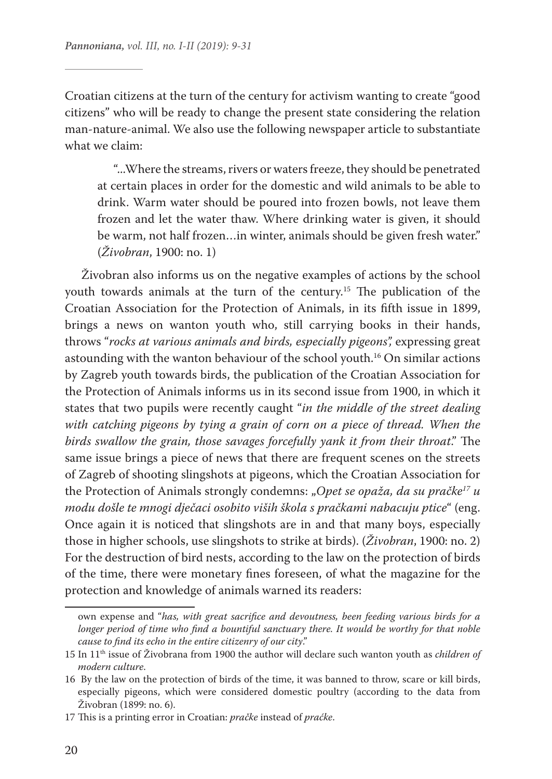Croatian citizens at the turn of the century for activism wanting to create "good citizens" who will be ready to change the present state considering the relation man-nature-animal. We also use the following newspaper article to substantiate what we claim:

"...Where the streams, rivers or waters freeze, they should be penetrated at certain places in order for the domestic and wild animals to be able to drink. Warm water should be poured into frozen bowls, not leave them frozen and let the water thaw. Where drinking water is given, it should be warm, not half frozen…in winter, animals should be given fresh water." (*Živobran*, 1900: no. 1)

Živobran also informs us on the negative examples of actions by the school youth towards animals at the turn of the century.15 The publication of the Croatian Association for the Protection of Animals, in its fifth issue in 1899, brings a news on wanton youth who, still carrying books in their hands, throws "*rocks at various animals and birds, especially pigeons",* expressing great astounding with the wanton behaviour of the school youth.16 On similar actions by Zagreb youth towards birds, the publication of the Croatian Association for the Protection of Animals informs us in its second issue from 1900, in which it states that two pupils were recently caught "*in the middle of the street dealing*  with catching pigeons by tying a grain of corn on a piece of thread. When the *birds swallow the grain, those savages forcefully yank it from their throat*." The same issue brings a piece of news that there are frequent scenes on the streets of Zagreb of shooting slingshots at pigeons, which the Croatian Association for the Protection of Animals strongly condemns: "*Opet se opaža, da su pračke17 u modu došle te mnogi dječaci osobito viših škola s pračkami nabacuju ptice*" (eng. Once again it is noticed that slingshots are in and that many boys, especially those in higher schools, use slingshots to strike at birds). (*Živobran*, 1900: no. 2) For the destruction of bird nests, according to the law on the protection of birds of the time, there were monetary fines foreseen, of what the magazine for the protection and knowledge of animals warned its readers:

own expense and "*has, with great sacrifice and devoutness, been feeding various birds for a longer period of time who find a bountiful sanctuary there. It would be worthy for that noble cause to find its echo in the entire citizenry of our city*."

<sup>15</sup> In 11th issue of Živobrana from 1900 the author will declare such wanton youth as *children of modern culture*.

<sup>16</sup> By the law on the protection of birds of the time, it was banned to throw, scare or kill birds, especially pigeons, which were considered domestic poultry (according to the data from Živobran (1899: no. 6).

<sup>17</sup> This is a printing error in Croatian: *pračke* instead of *praćke*.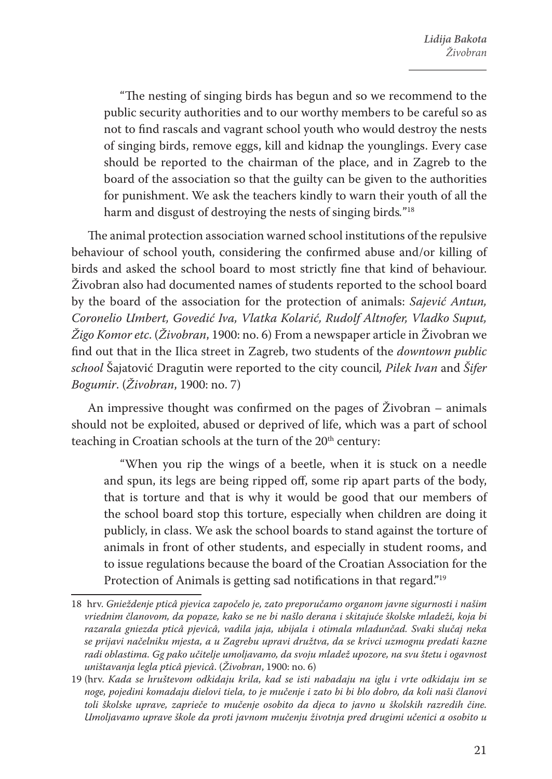"The nesting of singing birds has begun and so we recommend to the public security authorities and to our worthy members to be careful so as not to find rascals and vagrant school youth who would destroy the nests of singing birds, remove eggs, kill and kidnap the younglings. Every case should be reported to the chairman of the place, and in Zagreb to the board of the association so that the guilty can be given to the authorities for punishment. We ask the teachers kindly to warn their youth of all the harm and disgust of destroying the nests of singing birds*.*"18

The animal protection association warned school institutions of the repulsive behaviour of school youth, considering the confirmed abuse and/or killing of birds and asked the school board to most strictly fine that kind of behaviour. Živobran also had documented names of students reported to the school board by the board of the association for the protection of animals: *Sajević Antun, Coronelio Umbert, Govedić Iva, Vlatka Kolarić, Rudolf Altnofer, Vladko Suput, Žigo Komor etc*. (*Živobran*, 1900: no. 6) From a newspaper article in Živobran we find out that in the Ilica street in Zagreb, two students of the *downtown public school* Šajatović Dragutin were reported to the city council*, Pilek Ivan* and *Šifer Bogumir*. (*Živobran*, 1900: no. 7)

An impressive thought was confirmed on the pages of Živobran *–* animals should not be exploited, abused or deprived of life, which was a part of school teaching in Croatian schools at the turn of the 20<sup>th</sup> century:

"When you rip the wings of a beetle, when it is stuck on a needle and spun, its legs are being ripped off, some rip apart parts of the body, that is torture and that is why it would be good that our members of the school board stop this torture, especially when children are doing it publicly, in class. We ask the school boards to stand against the torture of animals in front of other students, and especially in student rooms, and to issue regulations because the board of the Croatian Association for the Protection of Animals is getting sad notifications in that regard."<sup>19</sup>

<sup>18</sup> hrv. *Gnieždenje pticâ pjevica započelo je, zato preporučamo organom javne sigurnosti i našim vriednim članovom, da popaze, kako se ne bi našlo derana i skitajuće školske mladeži, koja bi razarala gniezda pticâ pjevicâ, vadila jaja, ubijala i otimala mladunčad. Svaki slučaj neka se prijavi načelniku mjesta, a u Zagrebu upravi družtva, da se krivci uzmognu predati kazne radi oblastima. Gg pako učitelje umoljavamo, da svoju mladež upozore, na svu štetu i ogavnost uništavanja legla pticâ pjevicâ*. (*Živobran*, 1900: no. 6)

<sup>19</sup> (hrv. *Kada se hruštevom odkidaju krila, kad se isti nabadaju na iglu i vrte odkidaju im se noge, pojedini komadaju dielovi tiela, to je mučenje i zato bi bi blo dobro, da koli naši članovi toli školske uprave, zaprieče to mučenje osobito da djeca to javno u školskih razredih čine. Umoljavamo uprave škole da proti javnom mučenju životnja pred drugimi učenici a osobito u*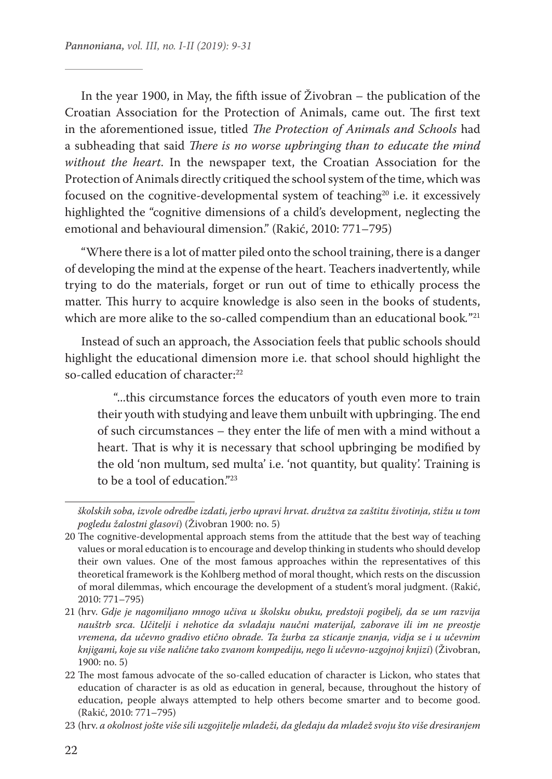In the year 1900, in May, the fifth issue of Živobran – the publication of the Croatian Association for the Protection of Animals, came out. The first text in the aforementioned issue, titled *The Protection of Animals and Schools* had a subheading that said *There is no worse upbringing than to educate the mind without the heart*. In the newspaper text, the Croatian Association for the Protection of Animals directly critiqued the school system of the time, which was focused on the cognitive-developmental system of teaching<sup>20</sup> i.e. it excessively highlighted the "cognitive dimensions of a child's development, neglecting the emotional and behavioural dimension." (Rakić, 2010: 771–795)

"Where there is a lot of matter piled onto the school training, there is a danger of developing the mind at the expense of the heart. Teachers inadvertently, while trying to do the materials, forget or run out of time to ethically process the matter. This hurry to acquire knowledge is also seen in the books of students, which are more alike to the so-called compendium than an educational book*.*"21

Instead of such an approach, the Association feels that public schools should highlight the educational dimension more i.e. that school should highlight the so-called education of character:<sup>22</sup>

"...this circumstance forces the educators of youth even more to train their youth with studying and leave them unbuilt with upbringing. The end of such circumstances – they enter the life of men with a mind without a heart. That is why it is necessary that school upbringing be modified by the old 'non multum, sed multa' i.e. 'not quantity, but quality'. Training is to be a tool of education."<sup>23</sup>

*školskih soba, izvole odredbe izdati, jerbo upravi hrvat. družtva za zaštitu životinja, stižu u tom pogledu žalostni glasovi*) (Živobran 1900: no. 5)

<sup>20</sup> The cognitive-developmental approach stems from the attitude that the best way of teaching values or moral education is to encourage and develop thinking in students who should develop their own values. One of the most famous approaches within the representatives of this theoretical framework is the Kohlberg method of moral thought, which rests on the discussion of moral dilemmas, which encourage the development of a student's moral judgment. (Rakić, 2010: 771–795)

<sup>21</sup> (hrv. *Gdje je nagomiljano mnogo učiva u školsku obuku, predstoji pogibelj, da se um razvija nauštrb srca. Učitelji i nehotice da svladaju naučni materijal, zaborave ili im ne preostje vremena, da učevno gradivo etično obrade. Ta žurba za sticanje znanja, vidja se i u učevnim knjigami, koje su više nalične tako zvanom kompediju, nego li učevno-uzgojnoj knjizi*) (Živobran, 1900: no. 5)

<sup>22</sup> The most famous advocate of the so-called education of character is Lickon, who states that education of character is as old as education in general, because, throughout the history of education, people always attempted to help others become smarter and to become good. (Rakić, 2010: 771–795)

<sup>23</sup> (hrv. *a okolnost jošte više sili uzgojitelje mladeži, da gledaju da mladež svoju što više dresiranjem*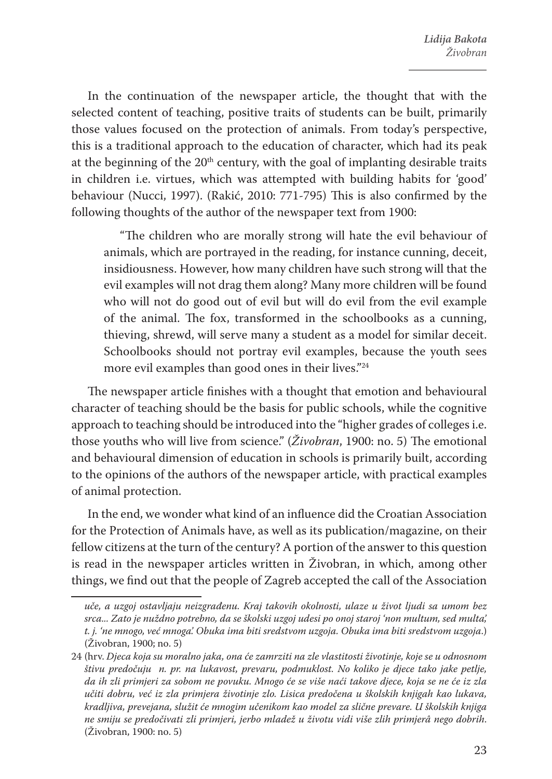In the continuation of the newspaper article, the thought that with the selected content of teaching, positive traits of students can be built, primarily those values focused on the protection of animals. From today's perspective, this is a traditional approach to the education of character, which had its peak at the beginning of the  $20<sup>th</sup>$  century, with the goal of implanting desirable traits in children i.e. virtues, which was attempted with building habits for 'good' behaviour (Nucci, 1997). (Rakić, 2010: 771-795) This is also confirmed by the following thoughts of the author of the newspaper text from 1900:

"The children who are morally strong will hate the evil behaviour of animals, which are portrayed in the reading, for instance cunning, deceit, insidiousness. However, how many children have such strong will that the evil examples will not drag them along? Many more children will be found who will not do good out of evil but will do evil from the evil example of the animal. The fox, transformed in the schoolbooks as a cunning, thieving, shrewd, will serve many a student as a model for similar deceit. Schoolbooks should not portray evil examples, because the youth sees more evil examples than good ones in their lives."24

The newspaper article finishes with a thought that emotion and behavioural character of teaching should be the basis for public schools, while the cognitive approach to teaching should be introduced into the "higher grades of colleges i.e. those youths who will live from science." (*Živobran*, 1900: no. 5) The emotional and behavioural dimension of education in schools is primarily built, according to the opinions of the authors of the newspaper article, with practical examples of animal protection.

In the end, we wonder what kind of an influence did the Croatian Association for the Protection of Animals have, as well as its publication/magazine, on their fellow citizens at the turn of the century? A portion of the answer to this question is read in the newspaper articles written in Živobran, in which, among other things, we find out that the people of Zagreb accepted the call of the Association

*uče, a uzgoj ostavljaju neizgrađenu. Kraj takovih okolnosti, ulaze u život ljudi sa umom bez srca... Zato je nuždno potrebno, da se školski uzgoj udesi po onoj staroj 'non multum, sed multa', t. j. 'ne mnogo, već mnoga'. Obuka ima biti sredstvom uzgoja. Obuka ima biti sredstvom uzgoja*.) (Živobran, 1900; no. 5)

<sup>24</sup> (hrv. *Djeca koja su moralno jaka, ona će zamrziti na zle vlastitosti životinje, koje se u odnosnom štivu predočuju n. pr. na lukavost, prevaru, podmuklost. No koliko je djece tako jake petlje, da ih zli primjeri za sobom ne povuku. Mnogo će se više naći takove djece, koja se ne će iz zla učiti dobru, već iz zla primjera životinje zlo. Lisica predočena u školskih knjigah kao lukava, kradljiva, prevejana, služit će mnogim učenikom kao model za slične prevare. U školskih knjiga ne smiju se predočivati zli primjeri, jerbo mladež u životu vidi više zlih primjerâ nego dobrih*. (Živobran, 1900: no. 5)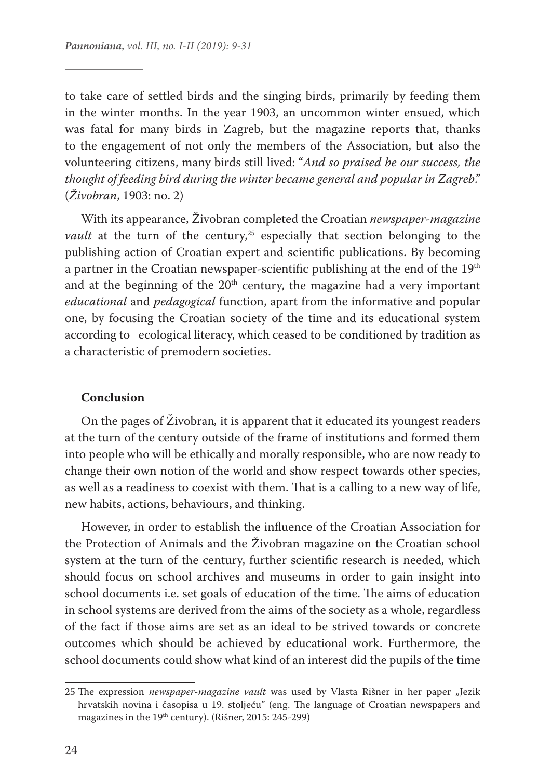to take care of settled birds and the singing birds, primarily by feeding them in the winter months. In the year 1903, an uncommon winter ensued, which was fatal for many birds in Zagreb, but the magazine reports that, thanks to the engagement of not only the members of the Association, but also the volunteering citizens, many birds still lived: "*And so praised be our success, the thought of feeding bird during the winter became general and popular in Zagreb*." (*Živobran*, 1903: no. 2)

With its appearance, Živobran completed the Croatian *newspaper-magazine vault* at the turn of the century,<sup>25</sup> especially that section belonging to the publishing action of Croatian expert and scientific publications. By becoming a partner in the Croatian newspaper-scientific publishing at the end of the 19<sup>th</sup> and at the beginning of the  $20<sup>th</sup>$  century, the magazine had a very important *educational* and *pedagogical* function, apart from the informative and popular one, by focusing the Croatian society of the time and its educational system according to ecological literacy, which ceased to be conditioned by tradition as a characteristic of premodern societies.

#### **Conclusion**

On the pages of Živobran*,* it is apparent that it educated its youngest readers at the turn of the century outside of the frame of institutions and formed them into people who will be ethically and morally responsible, who are now ready to change their own notion of the world and show respect towards other species, as well as a readiness to coexist with them. That is a calling to a new way of life, new habits, actions, behaviours, and thinking.

However, in order to establish the influence of the Croatian Association for the Protection of Animals and the Živobran magazine on the Croatian school system at the turn of the century, further scientific research is needed, which should focus on school archives and museums in order to gain insight into school documents i.e. set goals of education of the time. The aims of education in school systems are derived from the aims of the society as a whole, regardless of the fact if those aims are set as an ideal to be strived towards or concrete outcomes which should be achieved by educational work. Furthermore, the school documents could show what kind of an interest did the pupils of the time

<sup>25</sup> The expression *newspaper-magazine vault* was used by Vlasta Rišner in her paper "Jezik hrvatskih novina i časopisa u 19. stoljeću" (eng. The language of Croatian newspapers and magazines in the 19<sup>th</sup> century). (Rišner, 2015: 245-299)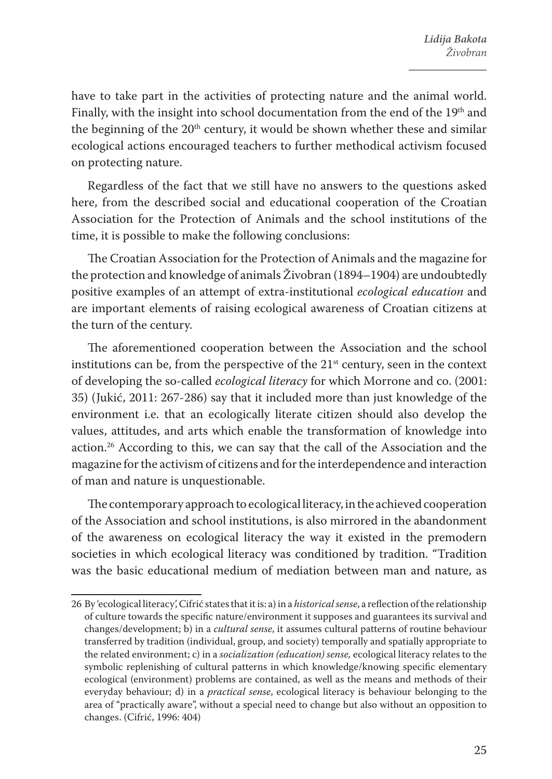have to take part in the activities of protecting nature and the animal world. Finally, with the insight into school documentation from the end of the 19<sup>th</sup> and the beginning of the  $20<sup>th</sup>$  century, it would be shown whether these and similar ecological actions encouraged teachers to further methodical activism focused on protecting nature.

Regardless of the fact that we still have no answers to the questions asked here, from the described social and educational cooperation of the Croatian Association for the Protection of Animals and the school institutions of the time, it is possible to make the following conclusions:

The Croatian Association for the Protection of Animals and the magazine for the protection and knowledge of animals Živobran (1894–1904) are undoubtedly positive examples of an attempt of extra-institutional *ecological education* and are important elements of raising ecological awareness of Croatian citizens at the turn of the century.

The aforementioned cooperation between the Association and the school institutions can be, from the perspective of the  $21<sup>st</sup>$  century, seen in the context of developing the so-called *ecological literacy* for which Morrone and co. (2001: 35) (Jukić, 2011: 267-286) say that it included more than just knowledge of the environment i.e. that an ecologically literate citizen should also develop the values, attitudes, and arts which enable the transformation of knowledge into action.26 According to this, we can say that the call of the Association and the magazine for the activism of citizens and for the interdependence and interaction of man and nature is unquestionable.

The contemporary approach to ecological literacy, in the achieved cooperation of the Association and school institutions, is also mirrored in the abandonment of the awareness on ecological literacy the way it existed in the premodern societies in which ecological literacy was conditioned by tradition. "Tradition was the basic educational medium of mediation between man and nature, as

<sup>26</sup> By 'ecological literacy', Cifrić states that it is: a) in a *historical sense*, a reflection of the relationship of culture towards the specific nature/environment it supposes and guarantees its survival and changes/development; b) in a *cultural sense*, it assumes cultural patterns of routine behaviour transferred by tradition (individual, group, and society) temporally and spatially appropriate to the related environment; c) in a *socialization (education) sense,* ecological literacy relates to the symbolic replenishing of cultural patterns in which knowledge/knowing specific elementary ecological (environment) problems are contained, as well as the means and methods of their everyday behaviour; d) in a *practical sense*, ecological literacy is behaviour belonging to the area of "practically aware", without a special need to change but also without an opposition to changes. (Cifrić, 1996: 404)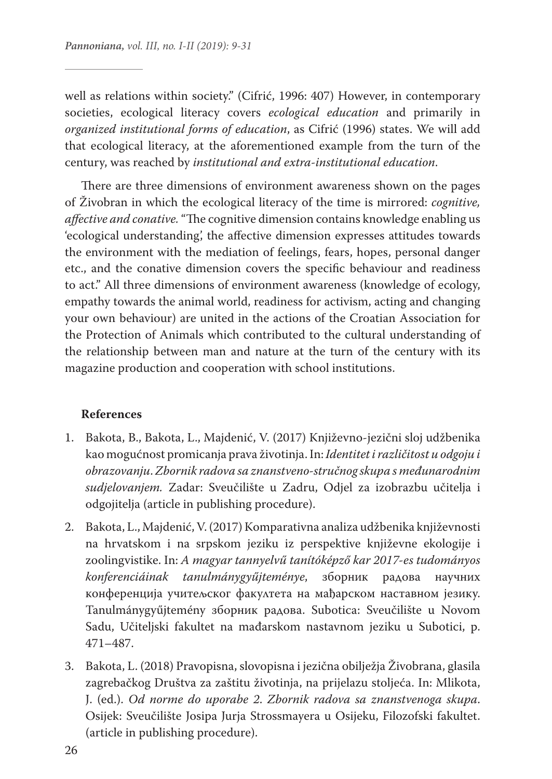well as relations within society." (Cifrić, 1996: 407) However, in contemporary societies, ecological literacy covers *ecological education* and primarily in *organized institutional forms of education*, as Cifrić (1996) states. We will add that ecological literacy, at the aforementioned example from the turn of the century, was reached by *institutional and extra-institutional education*.

There are three dimensions of environment awareness shown on the pages of Živobran in which the ecological literacy of the time is mirrored: *cognitive, affective and conative.* "The cognitive dimension contains knowledge enabling us 'ecological understanding', the affective dimension expresses attitudes towards the environment with the mediation of feelings, fears, hopes, personal danger etc., and the conative dimension covers the specific behaviour and readiness to act." All three dimensions of environment awareness (knowledge of ecology, empathy towards the animal world, readiness for activism, acting and changing your own behaviour) are united in the actions of the Croatian Association for the Protection of Animals which contributed to the cultural understanding of the relationship between man and nature at the turn of the century with its magazine production and cooperation with school institutions.

#### **References**

- 1. Bakota, B., Bakota, L., Majdenić, V. (2017) Književno-jezični sloj udžbenika kao mogućnost promicanja prava životinja. In: *Identitet i različitost u odgoju i obrazovanju*. *Zbornik radova sa znanstveno-stručnog skupa s međunarodnim sudjelovanjem.* Zadar: Sveučilište u Zadru, Odjel za izobrazbu učitelja i odgojitelja (article in publishing procedure).
- 2. Bakota, L., Majdenić, V. (2017) Komparativna analiza udžbenika književnosti na hrvatskom i na srpskom jeziku iz perspektive književne ekologije i zoolingvistike. In: *A magyar tannyelvű tanítóképző kar 2017-es tudományos konferenciáinak tanulmánygyűjteménye*, зборник радова научних конференција учитељског факултета на мађарском наставном језику. Tanulmánygyűjtemény зборник радова. Subotica: Sveučilište u Novom Sadu, Učiteljski fakultet na mađarskom nastavnom jeziku u Subotici, p. 471–487.
- 3. Bakota, L. (2018) Pravopisna, slovopisna i jezična obilježja Živobrana, glasila zagrebačkog Društva za zaštitu životinja, na prijelazu stoljeća. In: Mlikota, J. (ed.). *Od norme do uporabe 2*. *Zbornik radova sa znanstvenoga skupa*. Osijek: Sveučilište Josipa Jurja Strossmayera u Osijeku, Filozofski fakultet. (article in publishing procedure).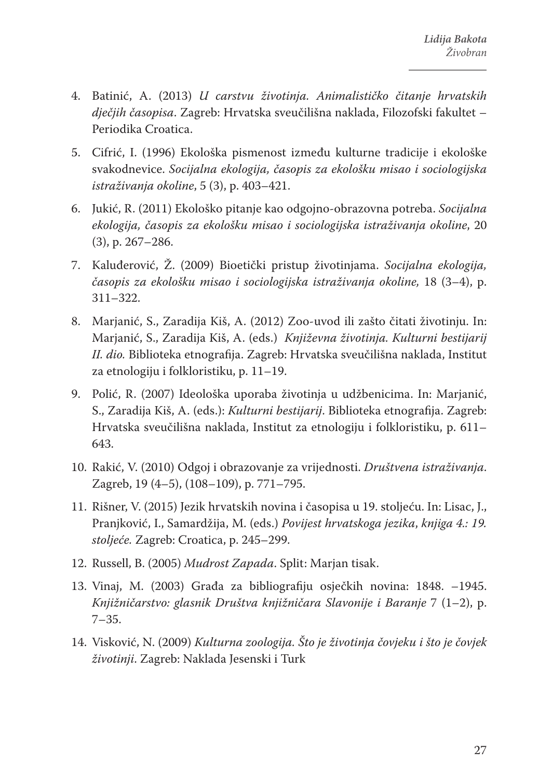- 4. Batinić, A. (2013) *U carstvu životinja. Animalističko čitanje hrvatskih dječjih časopisa*. Zagreb: Hrvatska sveučilišna naklada, Filozofski fakultet – Periodika Croatica.
- 5. Cifrić, I. (1996) Ekološka pismenost između kulturne tradicije i ekološke svakodnevice. *Socijalna ekologija, časopis za ekološku misao i sociologijska istraživanja okoline*, 5 (3), p. 403–421.
- 6. Jukić, R. (2011) Ekološko pitanje kao odgojno-obrazovna potreba. *Socijalna ekologija, časopis za ekološku misao i sociologijska istraživanja okoline*, 20 (3), p. 267–286.
- 7. Kaluđerović, Ž. (2009) Bioetički pristup životinjama. *Socijalna ekologija, časopis za ekološku misao i sociologijska istraživanja okoline,* 18 (3–4), p. 311–322.
- 8. Marjanić, S., Zaradija Kiš, A. (2012) Zoo-uvod ili zašto čitati životinju. In: Marjanić, S., Zaradija Kiš, A. (eds.) *Književna životinja. Kulturni bestijarij II. dio.* Biblioteka etnografija. Zagreb: Hrvatska sveučilišna naklada, Institut za etnologiju i folkloristiku, p. 11–19.
- 9. Polić, R. (2007) Ideološka uporaba životinja u udžbenicima. In: Marjanić, S., Zaradija Kiš, A. (eds.): *Kulturni bestijarij*. Biblioteka etnografija. Zagreb: Hrvatska sveučilišna naklada, Institut za etnologiju i folkloristiku, p. 611– 643.
- 10. Rakić, V. (2010) Odgoj i obrazovanje za vrijednosti. *Društvena istraživanja*. Zagreb, 19 (4–5), (108–109), p. 771–795.
- 11. Rišner, V. (2015) Jezik hrvatskih novina i časopisa u 19. stoljeću. In: Lisac, J., Pranjković, I., Samardžija, M. (eds.) *Povijest hrvatskoga jezika*, *knjiga 4.: 19. stoljeće.* Zagreb: Croatica, p. 245–299.
- 12. Russell, B. (2005) *Mudrost Zapada*. Split: Marjan tisak.
- 13. Vinaj, M. (2003) Građa za bibliografiju osječkih novina: 1848. –1945. *Knjižničarstvo: glasnik Društva knjižničara Slavonije i Baranje* 7 (1–2), p. 7–35.
- 14. Visković, N. (2009) *Kulturna zoologija. Što je životinja čovjeku i što je čovjek životinji*. Zagreb: Naklada Jesenski i Turk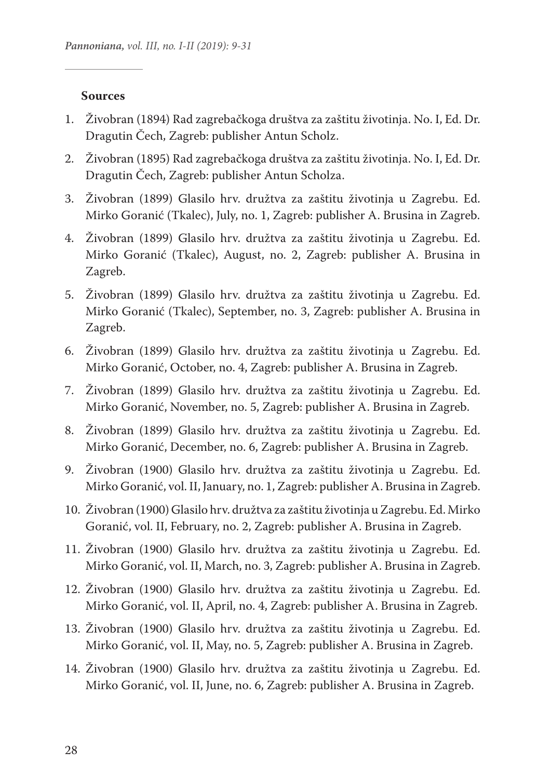#### **Sources**

- 1. Živobran (1894) Rad zagrebačkoga društva za zaštitu životinja. No. I, Ed. Dr. Dragutin Čech, Zagreb: publisher Antun Scholz.
- 2. Živobran (1895) Rad zagrebačkoga društva za zaštitu životinja. No. I, Ed. Dr. Dragutin Čech, Zagreb: publisher Antun Scholza.
- 3. Živobran (1899) Glasilo hrv. družtva za zaštitu životinja u Zagrebu. Ed. Mirko Goranić (Tkalec), July, no. 1, Zagreb: publisher A. Brusina in Zagreb.
- 4. Živobran (1899) Glasilo hrv. družtva za zaštitu životinja u Zagrebu. Ed. Mirko Goranić (Tkalec), August, no. 2, Zagreb: publisher A. Brusina in Zagreb.
- 5. Živobran (1899) Glasilo hrv. družtva za zaštitu životinja u Zagrebu. Ed. Mirko Goranić (Tkalec), September, no. 3, Zagreb: publisher A. Brusina in Zagreb.
- 6. Živobran (1899) Glasilo hrv. družtva za zaštitu životinja u Zagrebu. Ed. Mirko Goranić, October, no. 4, Zagreb: publisher A. Brusina in Zagreb.
- 7. Živobran (1899) Glasilo hrv. družtva za zaštitu životinja u Zagrebu. Ed. Mirko Goranić, November, no. 5, Zagreb: publisher A. Brusina in Zagreb.
- 8. Živobran (1899) Glasilo hrv. družtva za zaštitu životinja u Zagrebu. Ed. Mirko Goranić, December, no. 6, Zagreb: publisher A. Brusina in Zagreb.
- 9. Živobran (1900) Glasilo hrv. družtva za zaštitu životinja u Zagrebu. Ed. Mirko Goranić, vol. II, January, no. 1, Zagreb: publisher A. Brusina in Zagreb.
- 10. Živobran (1900) Glasilo hrv. družtva za zaštitu životinja u Zagrebu. Ed. Mirko Goranić, vol. II, February, no. 2, Zagreb: publisher A. Brusina in Zagreb.
- 11. Živobran (1900) Glasilo hrv. družtva za zaštitu životinja u Zagrebu. Ed. Mirko Goranić, vol. II, March, no. 3, Zagreb: publisher A. Brusina in Zagreb.
- 12. Živobran (1900) Glasilo hrv. družtva za zaštitu životinja u Zagrebu. Ed. Mirko Goranić, vol. II, April, no. 4, Zagreb: publisher A. Brusina in Zagreb.
- 13. Živobran (1900) Glasilo hrv. družtva za zaštitu životinja u Zagrebu. Ed. Mirko Goranić, vol. II, May, no. 5, Zagreb: publisher A. Brusina in Zagreb.
- 14. Živobran (1900) Glasilo hrv. družtva za zaštitu životinja u Zagrebu. Ed. Mirko Goranić, vol. II, June, no. 6, Zagreb: publisher A. Brusina in Zagreb.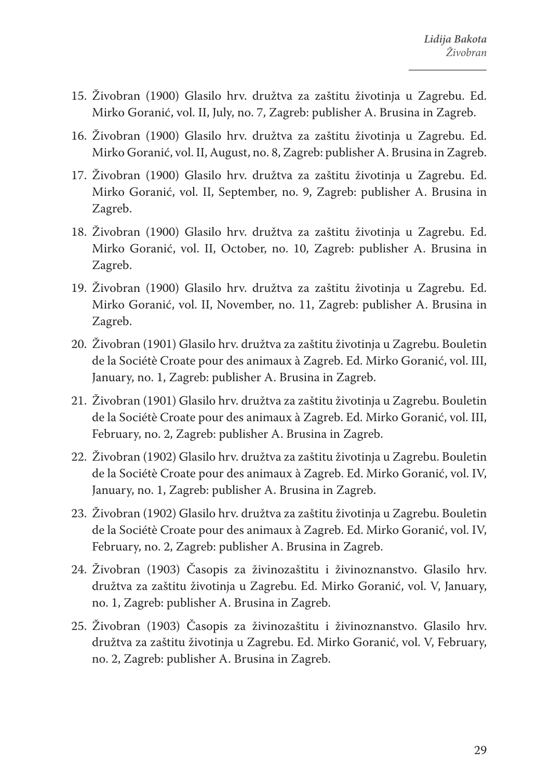- 15. Živobran (1900) Glasilo hrv. družtva za zaštitu životinja u Zagrebu. Ed. Mirko Goranić, vol. II, July, no. 7, Zagreb: publisher A. Brusina in Zagreb.
- 16. Živobran (1900) Glasilo hrv. družtva za zaštitu životinja u Zagrebu. Ed. Mirko Goranić, vol. II, August, no. 8, Zagreb: publisher A. Brusina in Zagreb.
- 17. Živobran (1900) Glasilo hrv. družtva za zaštitu životinja u Zagrebu. Ed. Mirko Goranić, vol. II, September, no. 9, Zagreb: publisher A. Brusina in Zagreb.
- 18. Živobran (1900) Glasilo hrv. družtva za zaštitu životinja u Zagrebu. Ed. Mirko Goranić, vol. II, October, no. 10, Zagreb: publisher A. Brusina in Zagreb.
- 19. Živobran (1900) Glasilo hrv. družtva za zaštitu životinja u Zagrebu. Ed. Mirko Goranić, vol. II, November, no. 11, Zagreb: publisher A. Brusina in Zagreb.
- 20. Živobran (1901) Glasilo hrv. družtva za zaštitu životinja u Zagrebu. Bouletin de la Sociétè Croate pour des animaux à Zagreb. Ed. Mirko Goranić, vol. III, January, no. 1, Zagreb: publisher A. Brusina in Zagreb.
- 21. Živobran (1901) Glasilo hrv. družtva za zaštitu životinja u Zagrebu. Bouletin de la Sociétè Croate pour des animaux à Zagreb. Ed. Mirko Goranić, vol. III, February, no. 2, Zagreb: publisher A. Brusina in Zagreb.
- 22. Živobran (1902) Glasilo hrv. družtva za zaštitu životinja u Zagrebu. Bouletin de la Sociétè Croate pour des animaux à Zagreb. Ed. Mirko Goranić, vol. IV, January, no. 1, Zagreb: publisher A. Brusina in Zagreb.
- 23. Živobran (1902) Glasilo hrv. družtva za zaštitu životinja u Zagrebu. Bouletin de la Sociétè Croate pour des animaux à Zagreb. Ed. Mirko Goranić, vol. IV, February, no. 2, Zagreb: publisher A. Brusina in Zagreb.
- 24. Živobran (1903) Časopis za živinozaštitu i živinoznanstvo. Glasilo hrv. družtva za zaštitu životinja u Zagrebu. Ed. Mirko Goranić, vol. V, January, no. 1, Zagreb: publisher A. Brusina in Zagreb.
- 25. Živobran (1903) Časopis za živinozaštitu i živinoznanstvo. Glasilo hrv. družtva za zaštitu životinja u Zagrebu. Ed. Mirko Goranić, vol. V, February, no. 2, Zagreb: publisher A. Brusina in Zagreb.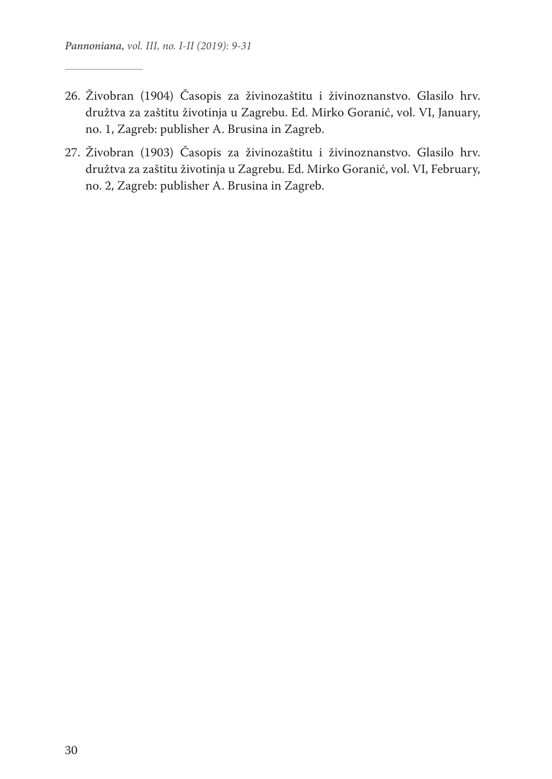- 26. Živobran (1904) Časopis za živinozaštitu i živinoznanstvo. Glasilo hrv. družtva za zaštitu životinja u Zagrebu. Ed. Mirko Goranić, vol. VI, January, no. 1, Zagreb: publisher A. Brusina in Zagreb.
- 27. Živobran (1903) Časopis za živinozaštitu i živinoznanstvo. Glasilo hrv. družtva za zaštitu životinja u Zagrebu. Ed. Mirko Goranić, vol. VI, February, no. 2, Zagreb: publisher A. Brusina in Zagreb.